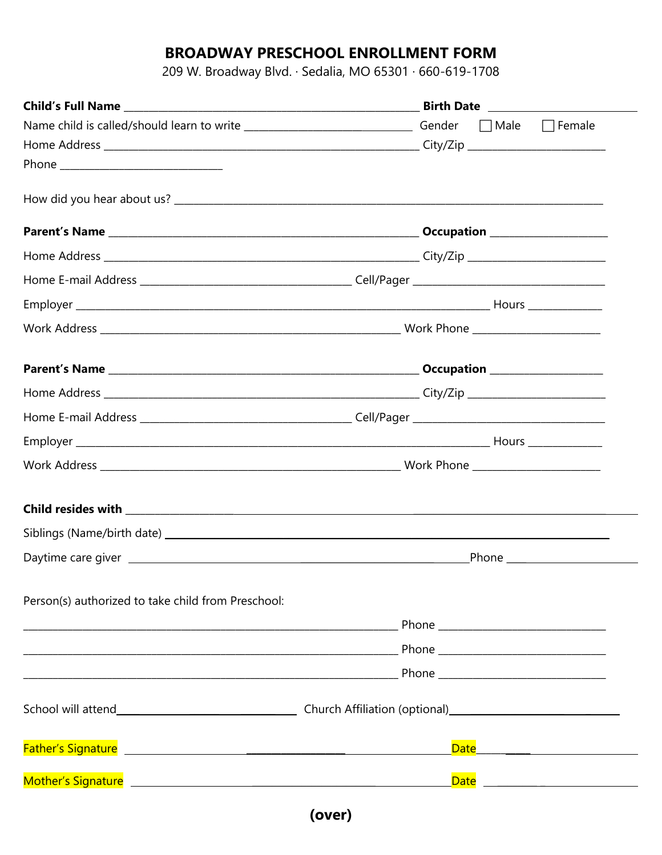# **BROADWAY PRESCHOOL ENROLLMENT FORM**

209 W. Broadway Blvd. · Sedalia, MO 65301 · 660-619-1708

| Name child is called/should learn to write ______________________________Gender □ Male □ Female |  |  |  |                                  |
|-------------------------------------------------------------------------------------------------|--|--|--|----------------------------------|
|                                                                                                 |  |  |  |                                  |
|                                                                                                 |  |  |  |                                  |
|                                                                                                 |  |  |  |                                  |
|                                                                                                 |  |  |  |                                  |
|                                                                                                 |  |  |  |                                  |
|                                                                                                 |  |  |  |                                  |
|                                                                                                 |  |  |  |                                  |
|                                                                                                 |  |  |  |                                  |
|                                                                                                 |  |  |  |                                  |
|                                                                                                 |  |  |  |                                  |
|                                                                                                 |  |  |  |                                  |
|                                                                                                 |  |  |  |                                  |
|                                                                                                 |  |  |  |                                  |
|                                                                                                 |  |  |  |                                  |
|                                                                                                 |  |  |  |                                  |
|                                                                                                 |  |  |  | _Phone _________________________ |
| Person(s) authorized to take child from Preschool:                                              |  |  |  |                                  |
|                                                                                                 |  |  |  |                                  |
|                                                                                                 |  |  |  |                                  |
|                                                                                                 |  |  |  |                                  |
|                                                                                                 |  |  |  |                                  |
|                                                                                                 |  |  |  |                                  |
|                                                                                                 |  |  |  |                                  |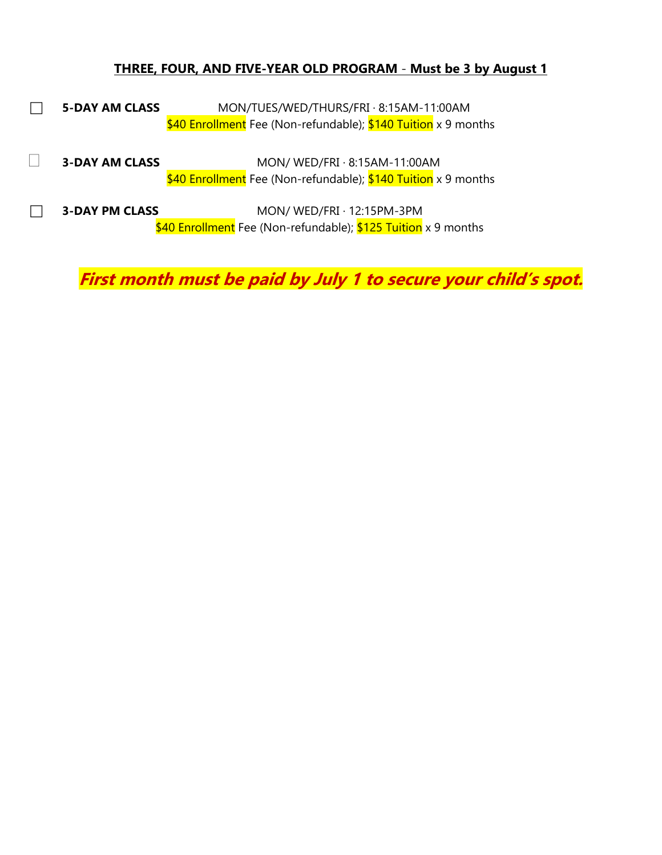#### **THREE, FOUR, AND FIVE-YEAR OLD PROGRAM** - **Must be 3 by August 1**

- **5-DAY AM CLASS** MON/TUES/WED/THURS/FRI · 8:15AM-11:00AM \$40 Enrollment Fee (Non-refundable); \$140 Tuition x 9 months
- **3-DAY AM CLASS** MON/ WED/FRI · 8:15AM-11:00AM \$40 Enrollment Fee (Non-refundable); \$140 Tuition x 9 months
- **3-DAY PM CLASS** MON/ WED/FRI · 12:15PM-3PM \$40 Enrollment Fee (Non-refundable); \$125 Tuition x 9 months

**First month must be paid by July 1 to secure your child's spot.**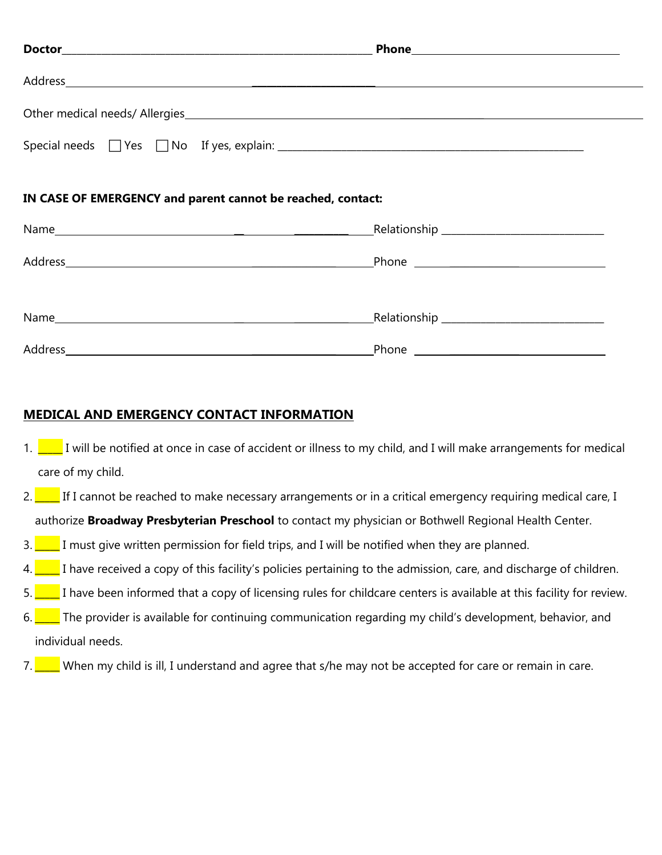| Address and the contract of the contract of the contract of the contract of the contract of the contract of the |  |
|-----------------------------------------------------------------------------------------------------------------|--|
|                                                                                                                 |  |
|                                                                                                                 |  |
| IN CASE OF EMERGENCY and parent cannot be reached, contact:                                                     |  |
|                                                                                                                 |  |
|                                                                                                                 |  |
|                                                                                                                 |  |

| Name    | Relationship |  |
|---------|--------------|--|
|         |              |  |
| Address | Phone        |  |

## **MEDICAL AND EMERGENCY CONTACT INFORMATION**

- 1.  $\Box$  I will be notified at once in case of accident or illness to my child, and I will make arrangements for medical care of my child.
- 2.  $\Box$  If I cannot be reached to make necessary arrangements or in a critical emergency requiring medical care, I authorize **Broadway Presbyterian Preschool** to contact my physician or Bothwell Regional Health Center.
- 3.  $\Box$  I must give written permission for field trips, and I will be notified when they are planned.
- $4.$  I have received a copy of this facility's policies pertaining to the admission, care, and discharge of children.
- 5. The 1 have been informed that a copy of licensing rules for childcare centers is available at this facility for review.
- 6. The provider is available for continuing communication regarding my child's development, behavior, and individual needs.
- 7. When my child is ill, I understand and agree that s/he may not be accepted for care or remain in care.